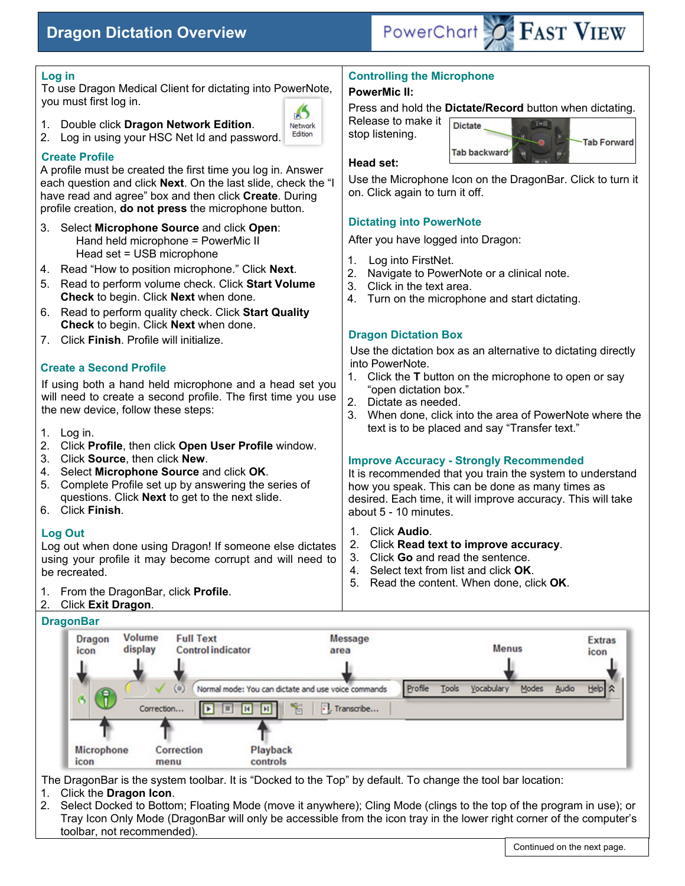# **Dragon Dictation Overview**



| Log in                                                                                                                                                                                                                                                                                  | <b>Controlling the Microphone</b>                                                                                                                                                                                                                                                                         |
|-----------------------------------------------------------------------------------------------------------------------------------------------------------------------------------------------------------------------------------------------------------------------------------------|-----------------------------------------------------------------------------------------------------------------------------------------------------------------------------------------------------------------------------------------------------------------------------------------------------------|
| To use Dragon Medical Client for dictating into PowerNote,                                                                                                                                                                                                                              | <b>PowerMic II:</b>                                                                                                                                                                                                                                                                                       |
| you must first log in.<br><b>S</b><br>Double click Dragon Network Edition.<br><b>Network</b><br>Edition<br>Log in using your HSC Net Id and password.<br>2.                                                                                                                             | Press and hold the Dictate/Record button when dictating.<br>Release to make it<br>T+⊟<br><b>Dictate</b><br>stop listening.<br><b>Tab Forward</b>                                                                                                                                                          |
| <b>Create Profile</b><br>A profile must be created the first time you log in. Answer<br>each question and click Next. On the last slide, check the "I<br>have read and agree" box and then click Create. During<br>profile creation, do not press the microphone button.                | Tab backward<br>Head set:<br>Use the Microphone Icon on the DragonBar. Click to turn it<br>on. Click again to turn it off.                                                                                                                                                                                |
| 3. Select Microphone Source and click Open:<br>Hand held microphone = PowerMic II                                                                                                                                                                                                       | <b>Dictating into PowerNote</b><br>After you have logged into Dragon:                                                                                                                                                                                                                                     |
| Head set = USB microphone<br>Read "How to position microphone." Click Next.<br>4.<br>Read to perform volume check. Click Start Volume<br>5.<br>Check to begin. Click Next when done.                                                                                                    | Log into FirstNet.<br>1.<br>2.<br>Navigate to PowerNote or a clinical note.<br>Click in the text area.<br>3.<br>Turn on the microphone and start dictating.<br>4.                                                                                                                                         |
| Read to perform quality check. Click Start Quality<br>ნ.<br>Check to begin. Click Next when done.                                                                                                                                                                                       | <b>Dragon Dictation Box</b>                                                                                                                                                                                                                                                                               |
| Click Finish. Profile will initialize.<br>7.<br><b>Create a Second Profile</b><br>If using both a hand held microphone and a head set you<br>will need to create a second profile. The first time you use<br>the new device, follow these steps:<br>1. Log in.                          | Use the dictation box as an alternative to dictating directly<br>into PowerNote.<br>Click the T button on the microphone to open or say<br>"open dictation box."<br>2.<br>Dictate as needed.<br>3. When done, click into the area of PowerNote where the<br>text is to be placed and say "Transfer text." |
| 2.<br>Click Profile, then click Open User Profile window.<br>3. Click Source, then click New.<br>Select Microphone Source and click OK.<br>4.<br>Complete Profile set up by answering the series of<br>5.<br>questions. Click <b>Next</b> to get to the next slide.<br>6. Click Finish. | <b>Improve Accuracy - Strongly Recommended</b><br>It is recommended that you train the system to understand<br>how you speak. This can be done as many times as<br>desired. Each time, it will improve accuracy. This will take<br>about 5 - 10 minutes.                                                  |
| <b>Log Out</b><br>Log out when done using Dragon! If someone else dictates<br>using your profile it may become corrupt and will need to<br>be recreated.                                                                                                                                | Click Audio.<br>1.<br>Click Read text to improve accuracy.<br>2.<br>Click Go and read the sentence.<br>3.<br>Select text from list and click OK.<br>4.<br>5.<br>Read the content. When done, click OK.                                                                                                    |

1. From the DragonBar, click **Profile**.

#### 2. Click **Exit Dragon**.

#### **DragonBar**



The DragonBar is the system toolbar. It is "Docked to the Top" by default. To change the tool bar location:

- 1. Click the **Dragon Icon**.
- Select Docked to Bottom; Floating Mode (move it anywhere); Cling Mode (clings to the top of the program in use); or Tray Icon Only Mode (DragonBar will only be accessible from the icon tray in the lower right corner of the computer's toolbar, not recommended).